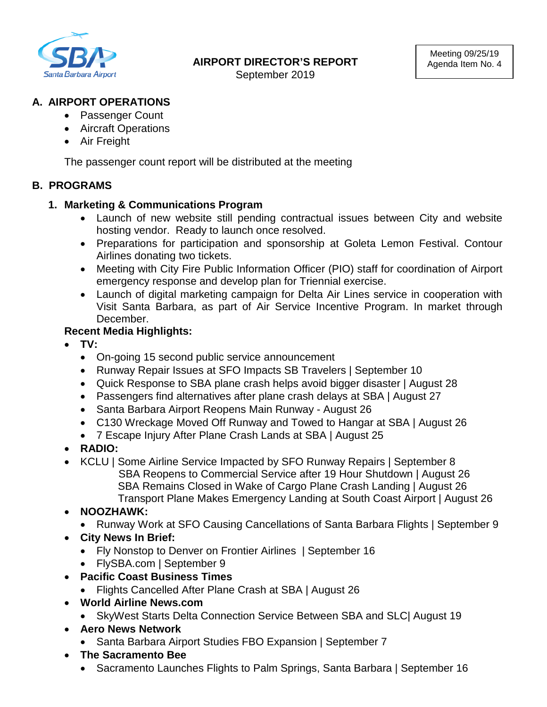

# **A. AIRPORT OPERATIONS**

- Passenger Count
- Aircraft Operations
- Air Freight

The passenger count report will be distributed at the meeting

# **B. PROGRAMS**

## **1. Marketing & Communications Program**

- Launch of new website still pending contractual issues between City and website hosting vendor. Ready to launch once resolved.
- Preparations for participation and sponsorship at Goleta Lemon Festival. Contour Airlines donating two tickets.
- Meeting with City Fire Public Information Officer (PIO) staff for coordination of Airport emergency response and develop plan for Triennial exercise.
- Launch of digital marketing campaign for Delta Air Lines service in cooperation with Visit Santa Barbara, as part of Air Service Incentive Program. In market through December.

# **Recent Media Highlights:**

- **TV:** 
	- On-going 15 second public service announcement
	- Runway Repair Issues at SFO Impacts SB Travelers | September 10
	- Quick Response to SBA plane crash helps avoid bigger disaster | August 28
	- Passengers find alternatives after plane crash delays at SBA | August 27
	- Santa Barbara Airport Reopens Main Runway August 26
	- C130 Wreckage Moved Off Runway and Towed to Hangar at SBA | August 26
	- 7 Escape Injury After Plane Crash Lands at SBA | August 25
- **RADIO:**
- KCLU | Some Airline Service Impacted by SFO Runway Repairs | September 8 SBA Reopens to Commercial Service after 19 Hour Shutdown | August 26 SBA Remains Closed in Wake of Cargo Plane Crash Landing | August 26 Transport Plane Makes Emergency Landing at South Coast Airport | August 26
- **NOOZHAWK:**
	- Runway Work at SFO Causing Cancellations of Santa Barbara Flights | September 9
- **City News In Brief:** 
	- Fly Nonstop to Denver on Frontier Airlines | September 16
	- FlySBA.com | September 9
- **Pacific Coast Business Times**
	- Flights Cancelled After Plane Crash at SBA | August 26
- **World Airline News.com** 
	- SkyWest Starts Delta Connection Service Between SBA and SLC| August 19
- **Aero News Network** 
	- Santa Barbara Airport Studies FBO Expansion | September 7
- **The Sacramento Bee**
	- Sacramento Launches Flights to Palm Springs, Santa Barbara | September 16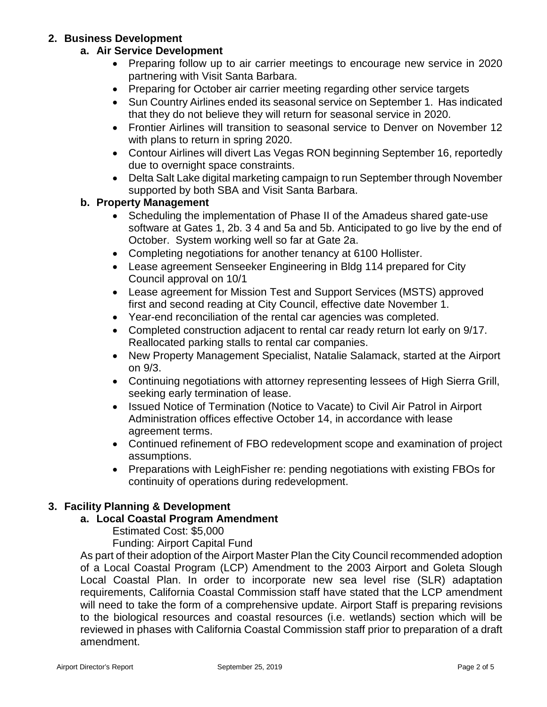### **2. Business Development**

### **a. Air Service Development**

- Preparing follow up to air carrier meetings to encourage new service in 2020 partnering with Visit Santa Barbara.
- Preparing for October air carrier meeting regarding other service targets
- Sun Country Airlines ended its seasonal service on September 1. Has indicated that they do not believe they will return for seasonal service in 2020.
- Frontier Airlines will transition to seasonal service to Denver on November 12 with plans to return in spring 2020.
- Contour Airlines will divert Las Vegas RON beginning September 16, reportedly due to overnight space constraints.
- Delta Salt Lake digital marketing campaign to run September through November supported by both SBA and Visit Santa Barbara.

### **b. Property Management**

- Scheduling the implementation of Phase II of the Amadeus shared gate-use software at Gates 1, 2b. 3 4 and 5a and 5b. Anticipated to go live by the end of October. System working well so far at Gate 2a.
- Completing negotiations for another tenancy at 6100 Hollister.
- Lease agreement Senseeker Engineering in Bldg 114 prepared for City Council approval on 10/1
- Lease agreement for Mission Test and Support Services (MSTS) approved first and second reading at City Council, effective date November 1.
- Year-end reconciliation of the rental car agencies was completed.
- Completed construction adjacent to rental car ready return lot early on 9/17. Reallocated parking stalls to rental car companies.
- New Property Management Specialist, Natalie Salamack, started at the Airport on 9/3.
- Continuing negotiations with attorney representing lessees of High Sierra Grill, seeking early termination of lease.
- Issued Notice of Termination (Notice to Vacate) to Civil Air Patrol in Airport Administration offices effective October 14, in accordance with lease agreement terms.
- Continued refinement of FBO redevelopment scope and examination of project assumptions.
- Preparations with LeighFisher re: pending negotiations with existing FBOs for continuity of operations during redevelopment.

## **3. Facility Planning & Development**

### **a. Local Coastal Program Amendment**

Estimated Cost: \$5,000

Funding: Airport Capital Fund

As part of their adoption of the Airport Master Plan the City Council recommended adoption of a Local Coastal Program (LCP) Amendment to the 2003 Airport and Goleta Slough Local Coastal Plan. In order to incorporate new sea level rise (SLR) adaptation requirements, California Coastal Commission staff have stated that the LCP amendment will need to take the form of a comprehensive update. Airport Staff is preparing revisions to the biological resources and coastal resources (i.e. wetlands) section which will be reviewed in phases with California Coastal Commission staff prior to preparation of a draft amendment.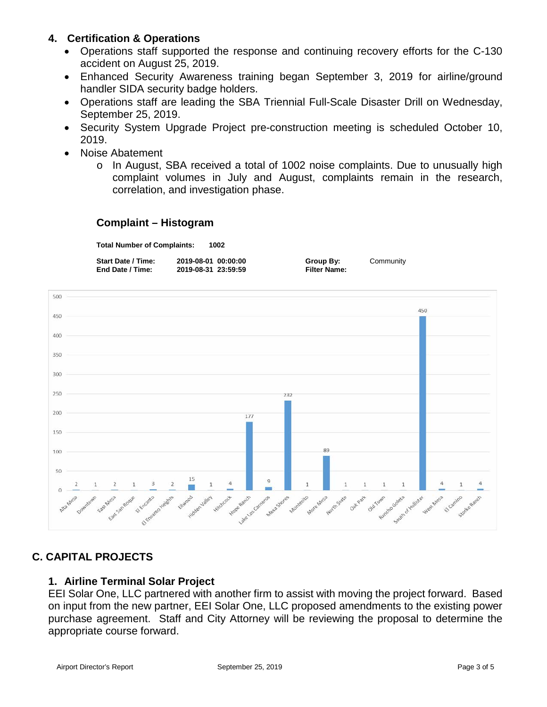### **4. Certification & Operations**

- Operations staff supported the response and continuing recovery efforts for the C-130 accident on August 25, 2019.
- Enhanced Security Awareness training began September 3, 2019 for airline/ground handler SIDA security badge holders.
- Operations staff are leading the SBA Triennial Full-Scale Disaster Drill on Wednesday, September 25, 2019.
- Security System Upgrade Project pre-construction meeting is scheduled October 10, 2019.
- Noise Abatement
	- o In August, SBA received a total of 1002 noise complaints. Due to unusually high complaint volumes in July and August, complaints remain in the research, correlation, and investigation phase.

### **Complaint – Histogram**

**Total Number of Complaints: 1002**

| <b>Start Date / Time:</b> | 2019-08-01 00:00:00 | Group By:           | Community |
|---------------------------|---------------------|---------------------|-----------|
| End Date / Time:          | 2019-08-31 23:59:59 | <b>Filter Name:</b> |           |



# **C. CAPITAL PROJECTS**

### **1. Airline Terminal Solar Project**

EEI Solar One, LLC partnered with another firm to assist with moving the project forward. Based on input from the new partner, EEI Solar One, LLC proposed amendments to the existing power purchase agreement. Staff and City Attorney will be reviewing the proposal to determine the appropriate course forward.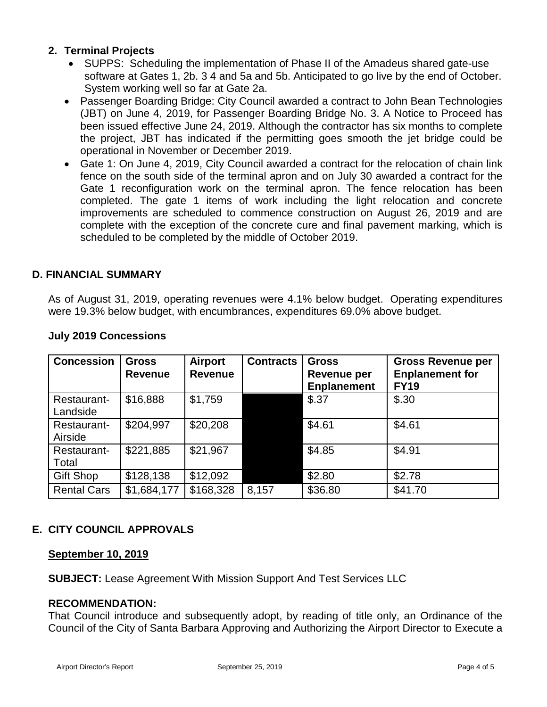### **2. Terminal Projects**

- SUPPS: Scheduling the implementation of Phase II of the Amadeus shared gate-use software at Gates 1, 2b. 3 4 and 5a and 5b. Anticipated to go live by the end of October. System working well so far at Gate 2a.
- Passenger Boarding Bridge: City Council awarded a contract to John Bean Technologies (JBT) on June 4, 2019, for Passenger Boarding Bridge No. 3. A Notice to Proceed has been issued effective June 24, 2019. Although the contractor has six months to complete the project, JBT has indicated if the permitting goes smooth the jet bridge could be operational in November or December 2019.
- Gate 1: On June 4, 2019, City Council awarded a contract for the relocation of chain link fence on the south side of the terminal apron and on July 30 awarded a contract for the Gate 1 reconfiguration work on the terminal apron. The fence relocation has been completed. The gate 1 items of work including the light relocation and concrete improvements are scheduled to commence construction on August 26, 2019 and are complete with the exception of the concrete cure and final pavement marking, which is scheduled to be completed by the middle of October 2019.

### **D. FINANCIAL SUMMARY**

As of August 31, 2019, operating revenues were 4.1% below budget. Operating expenditures were 19.3% below budget, with encumbrances, expenditures 69.0% above budget.

| <b>Concession</b>       | <b>Gross</b><br><b>Revenue</b> | <b>Airport</b><br><b>Revenue</b> | <b>Contracts</b> | <b>Gross</b><br>Revenue per<br><b>Enplanement</b> | <b>Gross Revenue per</b><br><b>Enplanement for</b><br><b>FY19</b> |
|-------------------------|--------------------------------|----------------------------------|------------------|---------------------------------------------------|-------------------------------------------------------------------|
| Restaurant-<br>Landside | \$16,888                       | \$1,759                          |                  | \$.37                                             | \$.30                                                             |
| Restaurant-<br>Airside  | \$204,997                      | \$20,208                         |                  | \$4.61                                            | \$4.61                                                            |
| Restaurant-<br>Total    | \$221,885                      | \$21,967                         |                  | \$4.85                                            | \$4.91                                                            |
| <b>Gift Shop</b>        | \$128,138                      | \$12,092                         |                  | \$2.80                                            | \$2.78                                                            |
| <b>Rental Cars</b>      | \$1,684,177                    | \$168,328                        | 8,157            | \$36.80                                           | \$41.70                                                           |

### **July 2019 Concessions**

## **E. CITY COUNCIL APPROVALS**

### **September 10, 2019**

**SUBJECT:** Lease Agreement With Mission Support And Test Services LLC

### **RECOMMENDATION:**

That Council introduce and subsequently adopt, by reading of title only, an Ordinance of the Council of the City of Santa Barbara Approving and Authorizing the Airport Director to Execute a